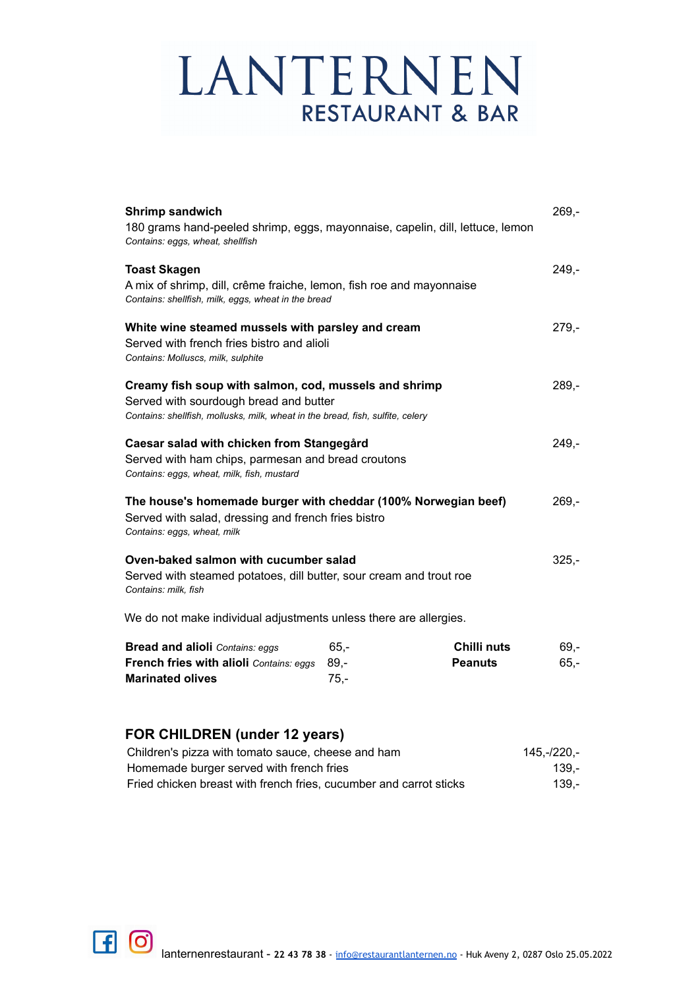| <b>Shrimp sandwich</b><br>180 grams hand-peeled shrimp, eggs, mayonnaise, capelin, dill, lettuce, lemon                     |                  |                | $269 -$ |
|-----------------------------------------------------------------------------------------------------------------------------|------------------|----------------|---------|
| Contains: eggs, wheat, shellfish                                                                                            |                  |                |         |
| <b>Toast Skagen</b>                                                                                                         |                  |                | $249 -$ |
| A mix of shrimp, dill, crême fraiche, lemon, fish roe and mayonnaise<br>Contains: shellfish, milk, eggs, wheat in the bread |                  |                |         |
| White wine steamed mussels with parsley and cream                                                                           |                  |                | $279 -$ |
| Served with french fries bistro and alioli<br>Contains: Molluscs, milk, sulphite                                            |                  |                |         |
| Creamy fish soup with salmon, cod, mussels and shrimp                                                                       |                  |                | $289 -$ |
| Served with sourdough bread and butter<br>Contains: shellfish, mollusks, milk, wheat in the bread, fish, sulfite, celery    |                  |                |         |
| Caesar salad with chicken from Stangegård                                                                                   |                  |                | $249 -$ |
| Served with ham chips, parmesan and bread croutons<br>Contains: eggs, wheat, milk, fish, mustard                            |                  |                |         |
| The house's homemade burger with cheddar (100% Norwegian beef)                                                              |                  |                | $269 -$ |
| Served with salad, dressing and french fries bistro<br>Contains: eggs, wheat, milk                                          |                  |                |         |
| Oven-baked salmon with cucumber salad                                                                                       |                  |                | $325,-$ |
| Served with steamed potatoes, dill butter, sour cream and trout roe<br>Contains: milk, fish                                 |                  |                |         |
| We do not make individual adjustments unless there are allergies.                                                           |                  |                |         |
| <b>Bread and alioli</b> Contains: eggs                                                                                      | $65 -$           | Chilli nuts    | $69,-$  |
| French fries with alioli Contains: eggs<br><b>Marinated olives</b>                                                          | $89 -$<br>$75 -$ | <b>Peanuts</b> | $65,-$  |

### **FOR CHILDREN (under 12 years)**

| Children's pizza with tomato sauce, cheese and ham                 | 145.-/220.- |
|--------------------------------------------------------------------|-------------|
| Homemade burger served with french fries                           | 139.-       |
| Fried chicken breast with french fries, cucumber and carrot sticks | 139.-       |

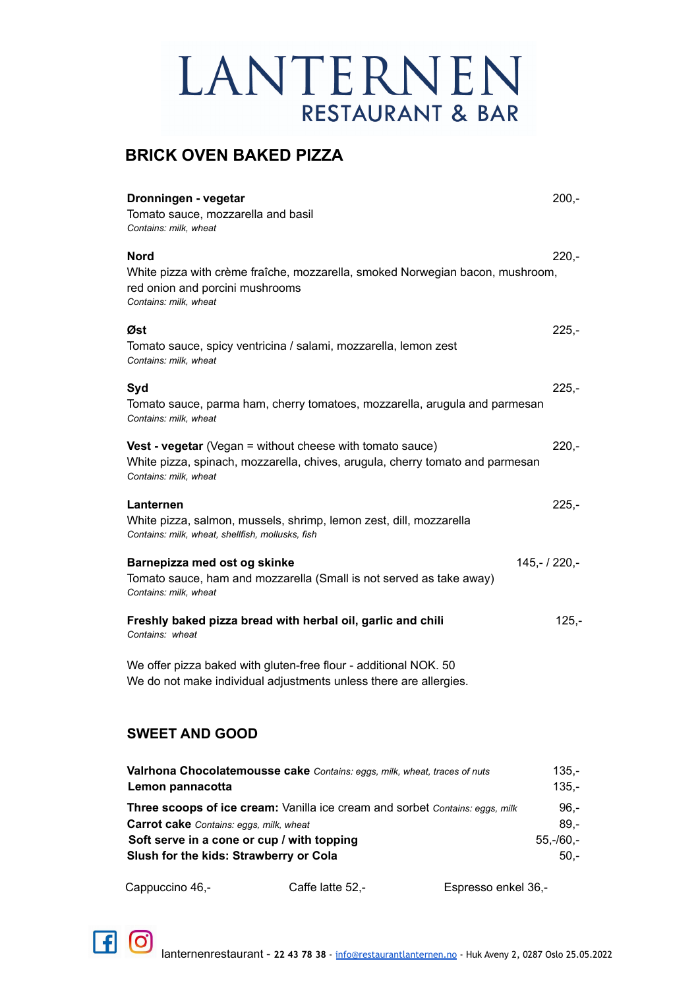### **BRICK OVEN BAKED PIZZA**

| Dronningen - vegetar<br>Tomato sauce, mozzarella and basil<br>Contains: milk, wheat                                                                                        | $200,-$                         |
|----------------------------------------------------------------------------------------------------------------------------------------------------------------------------|---------------------------------|
| Nord<br>White pizza with crème fraîche, mozzarella, smoked Norwegian bacon, mushroom,<br>red onion and porcini mushrooms<br>Contains: milk, wheat                          | $220 -$                         |
| Øst<br>Tomato sauce, spicy ventricina / salami, mozzarella, lemon zest<br>Contains: milk, wheat                                                                            | $225 -$                         |
| Syd<br>Tomato sauce, parma ham, cherry tomatoes, mozzarella, arugula and parmesan<br>Contains: milk, wheat                                                                 | $225 -$                         |
| <b>Vest - vegetar</b> (Vegan = without cheese with tomato sauce)<br>White pizza, spinach, mozzarella, chives, arugula, cherry tomato and parmesan<br>Contains: milk, wheat | $220 -$                         |
| Lanternen<br>White pizza, salmon, mussels, shrimp, lemon zest, dill, mozzarella<br>Contains: milk, wheat, shellfish, mollusks, fish                                        | $225 -$                         |
| Barnepizza med ost og skinke<br>$145,-/220,-$<br>Tomato sauce, ham and mozzarella (Small is not served as take away)<br>Contains: milk, wheat                              |                                 |
| Freshly baked pizza bread with herbal oil, garlic and chili<br>Contains: wheat                                                                                             | $125 -$                         |
| We offer pizza baked with gluten-free flour - additional NOK. 50<br>We do not make individual adjustments unless there are allergies.                                      |                                 |
| <b>SWEET AND GOOD</b>                                                                                                                                                      |                                 |
| Valrhona Chocolatemousse cake Contains: eggs, milk, wheat, traces of nuts<br>Lemon pannacotta                                                                              | $135,-$<br>$135,-$              |
| Three scoops of ice cream: Vanilla ice cream and sorbet Contains: eggs, milk<br>Carrot cake Contains: eggs, milk, wheat<br>Soft serve in a cone or cup / with topping      | $96,-$<br>$89,-$<br>$55,-/60,-$ |

Cappuccino 46,- Caffe latte 52,- Espresso enkel 36,-

**Slush for the kids: Strawberry or Cola** 50,-

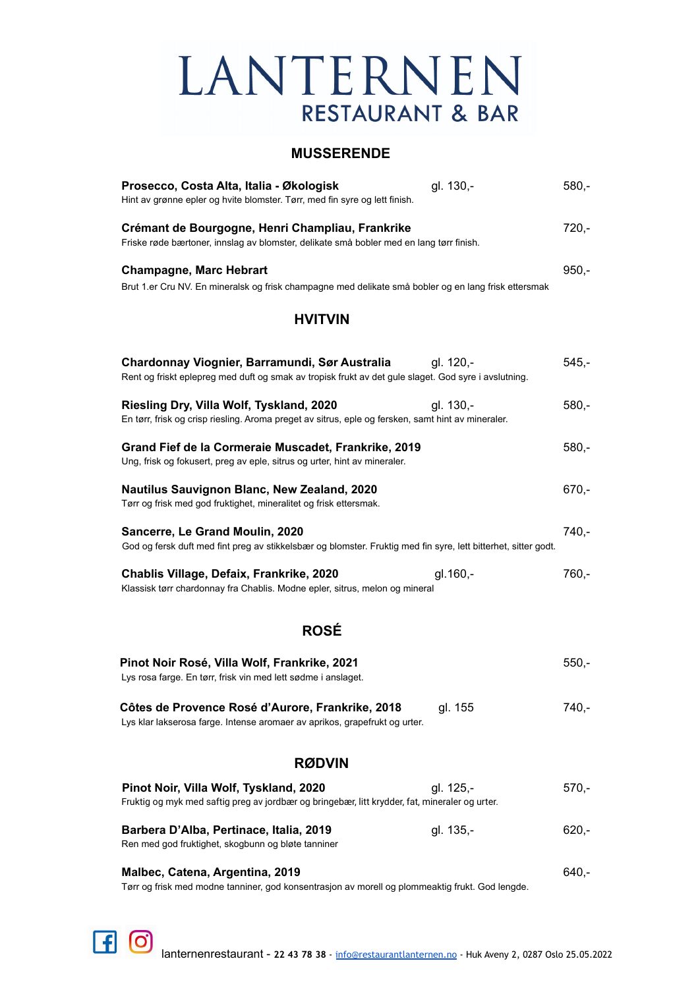#### **MUSSERENDE**

| Prosecco, Costa Alta, Italia - Økologisk                                                                                                               | gl. 130,- | $580,-$ |
|--------------------------------------------------------------------------------------------------------------------------------------------------------|-----------|---------|
| Hint av grønne epler og hvite blomster. Tørr, med fin syre og lett finish.                                                                             |           |         |
| Crémant de Bourgogne, Henri Champliau, Frankrike<br>Friske røde bærtoner, innslag av blomster, delikate små bobler med en lang tørr finish.            |           | $720,-$ |
| <b>Champagne, Marc Hebrart</b>                                                                                                                         |           | $950,-$ |
| Brut 1.er Cru NV. En mineralsk og frisk champagne med delikate små bobler og en lang frisk ettersmak                                                   |           |         |
| <b>HVITVIN</b>                                                                                                                                         |           |         |
| Chardonnay Viognier, Barramundi, Sør Australia<br>Rent og friskt eplepreg med duft og smak av tropisk frukt av det gule slaget. God syre i avslutning. | gl. 120.- | $545,-$ |
| Riesling Dry, Villa Wolf, Tyskland, 2020<br>En tørr, frisk og crisp riesling. Aroma preget av sitrus, eple og fersken, samt hint av mineraler.         | gl. 130,- | $580,-$ |
| Grand Fief de la Cormeraie Muscadet, Frankrike, 2019<br>Ung, frisk og fokusert, preg av eple, sitrus og urter, hint av mineraler.                      |           | $580,-$ |
| Nautilus Sauvignon Blanc, New Zealand, 2020<br>Tørr og frisk med god fruktighet, mineralitet og frisk ettersmak.                                       |           | $670,-$ |
| Sancerre, Le Grand Moulin, 2020<br>God og fersk duft med fint preg av stikkelsbær og blomster. Fruktig med fin syre, lett bitterhet, sitter godt.      |           | $740,-$ |
| Chablis Village, Defaix, Frankrike, 2020<br>Klassisk tørr chardonnay fra Chablis. Modne epler, sitrus, melon og mineral                                | gl. 160,- | $760,-$ |
| <b>ROSÉ</b>                                                                                                                                            |           |         |
| Pinot Noir Rosé, Villa Wolf, Frankrike, 2021<br>Lys rosa farge. En tørr, frisk vin med lett sødme i anslaget.                                          |           | $550,-$ |
| Côtes de Provence Rosé d'Aurore, Frankrike, 2018<br>Lys klar lakserosa farge. Intense aromaer av aprikos, grapefrukt og urter.                         | gl. 155   | 740,-   |
| <b>RØDVIN</b>                                                                                                                                          |           |         |
| Pinot Noir, Villa Wolf, Tyskland, 2020<br>Fruktig og myk med saftig preg av jordbær og bringebær, litt krydder, fat, mineraler og urter.               | gl. 125,- | $570,-$ |
| Barbera D'Alba, Pertinace, Italia, 2019<br>Ren med god fruktighet, skogbunn og bløte tanniner                                                          | gl. 135,- | $620,-$ |
| Malbec, Catena, Argentina, 2019<br>Tørr og frisk med modne tanniner, god konsentrasjon av morell og plommeaktig frukt. God lengde.                     |           | $640,-$ |

 $F$  $\odot$